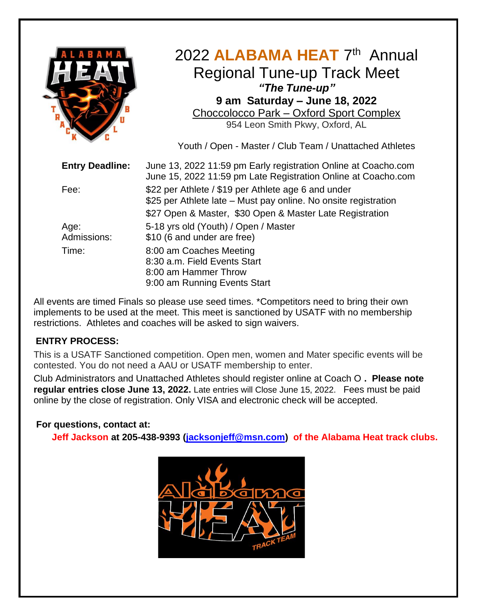

# 2022 ALABAMA HEAT 7<sup>th</sup> Annual Regional Tune-up Track Meet *"The Tune-up"* **9 am Saturday – June 18, 2022** Choccolocco Park – [Oxford Sport Complex](https://www.google.com/url?sa=t&rct=j&q=&esrc=s&source=web&cd=1&ved=0ahUKEwjglbOb2-rTAhVC5YMKHUf2AiEQFggnMAA&url=http%3A%2F%2Fwww.choccoloccopark.com%2F&usg=AFQjCNF9LaRD1nzDsfDTkOLmRoq6yPBfCQ) 954 Leon Smith Pkwy, Oxford, AL

Youth / Open - Master / Club Team / Unattached Athletes

| <b>Entry Deadline:</b> | June 13, 2022 11:59 pm Early registration Online at Coacho.com<br>June 15, 2022 11:59 pm Late Registration Online at Coacho.com |
|------------------------|---------------------------------------------------------------------------------------------------------------------------------|
| Fee:                   | \$22 per Athlete / \$19 per Athlete age 6 and under<br>\$25 per Athlete late - Must pay online. No onsite registration          |
|                        | \$27 Open & Master, \$30 Open & Master Late Registration                                                                        |
| Age:<br>Admissions:    | 5-18 yrs old (Youth) / Open / Master<br>\$10 (6 and under are free)                                                             |
| Time:                  | 8:00 am Coaches Meeting<br>8:30 a.m. Field Events Start<br>8:00 am Hammer Throw<br>9:00 am Running Events Start                 |

All events are timed Finals so please use seed times. \*Competitors need to bring their own implements to be used at the meet. This meet is sanctioned by USATF with no membership restrictions. Athletes and coaches will be asked to sign waivers.

## **ENTRY PROCESS:**

This is a USATF Sanctioned competition. Open men, women and Mater specific events will be contested. You do not need a AAU or USATF membership to enter.

Club Administrators and Unattached Athletes should register online at Coach O **. Please note regular entries close June 13, 2022.** Late entries will Close June 15, 2022. Fees must be paid online by the close of registration. Only VISA and electronic check will be accepted.

## **For questions, contact at:**

 **Jeff Jackson at 205-438-9393 [\(jacksonjeff@msn.com\)](mailto:jacksonjeff@msn.com) of the Alabama Heat track clubs.**

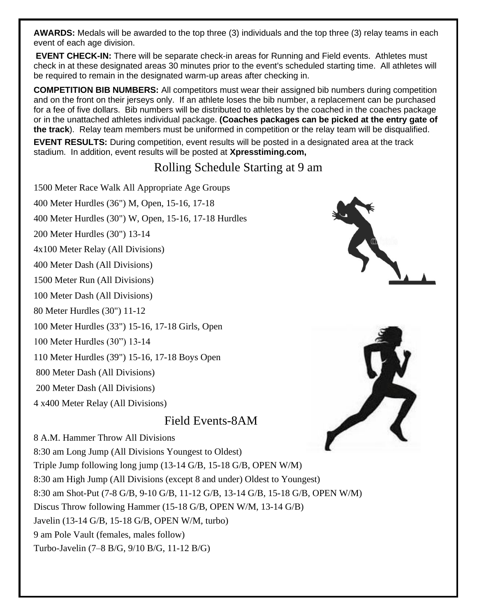**AWARDS:** Medals will be awarded to the top three (3) individuals and the top three (3) relay teams in each event of each age division.

**EVENT CHECK-IN:** There will be separate check-in areas for Running and Field events. Athletes must check in at these designated areas 30 minutes prior to the event's scheduled starting time. All athletes will be required to remain in the designated warm-up areas after checking in.

**COMPETITION BIB NUMBERS:** All competitors must wear their assigned bib numbers during competition and on the front on their jerseys only. If an athlete loses the bib number, a replacement can be purchased for a fee of five dollars. Bib numbers will be distributed to athletes by the coached in the coaches package or in the unattached athletes individual package. **(Coaches packages can be picked at the entry gate of the track**). Relay team members must be uniformed in competition or the relay team will be disqualified.

**EVENT RESULTS:** During competition, event results will be posted in a designated area at the track stadium. In addition, event results will be posted at **Xpresstiming.com,** 

# Rolling Schedule Starting at 9 am

1500 Meter Race Walk All Appropriate Age Groups

400 Meter Hurdles (36") M, Open, 15-16, 17-18

400 Meter Hurdles (30") W, Open, 15-16, 17-18 Hurdles

200 Meter Hurdles (30") 13-14

4x100 Meter Relay (All Divisions)

400 Meter Dash (All Divisions)

1500 Meter Run (All Divisions)

100 Meter Dash (All Divisions)

80 Meter Hurdles (30") 11-12

100 Meter Hurdles (33") 15-16, 17-18 Girls, Open

100 Meter Hurdles (30") 13-14

110 Meter Hurdles (39") 15-16, 17-18 Boys Open

800 Meter Dash (All Divisions)

200 Meter Dash (All Divisions)

4 x400 Meter Relay (All Divisions)

8 A.M. Hammer Throw All Divisions

# Field Events-8AM

8:30 am Long Jump (All Divisions Youngest to Oldest) Triple Jump following long jump (13-14 G/B, 15-18 G/B, OPEN W/M)

8:30 am High Jump (All Divisions (except 8 and under) Oldest to Youngest) 8:30 am Shot-Put (7-8 G/B, 9-10 G/B, 11-12 G/B, 13-14 G/B, 15-18 G/B, OPEN W/M)

Discus Throw following Hammer (15-18 G/B, OPEN W/M, 13-14 G/B)

Javelin (13-14 G/B, 15-18 G/B, OPEN W/M, turbo)

9 am Pole Vault (females, males follow)

Turbo-Javelin (7–8 B/G, 9/10 B/G, 11-12 B/G)